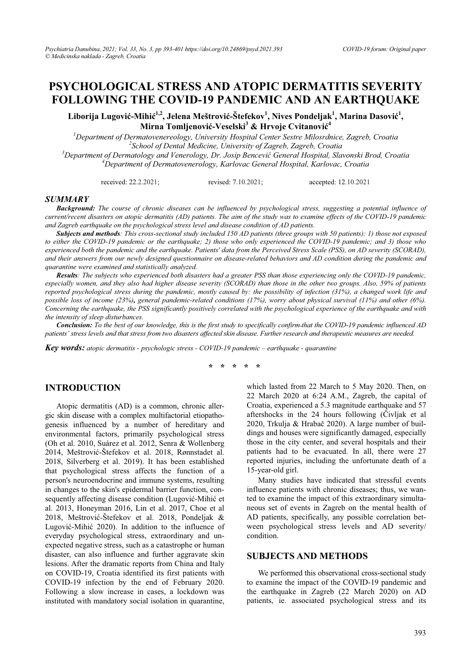# **PSYCHOLOGICAL STRESS AND ATOPIC DERMATITIS SEVERITY FOLLOWING THE COVID-19 PANDEMIC AND AN EARTHQUAKE**

 $\mathbf{L}$ iborija Lugović-Mihić<sup>1,2</sup>, Jelena Meštrović-Štefekov<sup>1</sup>, Nives Pondeljak<sup>1</sup>, Marina Dasović<sup>1</sup>, **Mirna Tomljenoviü-Veselski<sup>3</sup> & Hrvoje Cvitanoviü 4**

<sup>1</sup> Department of Dermatovenereology, University Hospital Center Sestre Milosrdnice, Zagreb, Croatia <sup>2</sup>Sekool of Devtal Medicine, University of Zagreb, Croatia <sup>2</sup> School of Dental Medicine, University of Zagreb, Zagreb, Croatia *Department of Dermatology and Venerology, Dr. Josip Benceviü General Hospital, Slavonski Brod, Croatia 4 Department of Dermatovenerology, Karlovac General Hospital, Karlovac, Croatia* 

received: 22.2.2021; revised: 7.10.2021; accepted: 12.10.2021

#### *SUMMARY*

*Background: The course of chronic diseases can be influenced by psychological stress, suggesting a potential influence of current/recent disasters on atopic dermatitis (AD) patients. The aim of the study was to examine effects of the COVID-19 pandemic and Zagreb earthquake on the psychological stress level and disease condition of AD patients.* 

*Subjects and methods: This cross-sectional study included 150 AD patients (three groups with 50 patients): 1) those not exposed to either the COVID-19 pandemic or the earthquake; 2) those who only experienced the COVID-19 pandemic; and 3) those who experienced both the pandemic and the earthquake. Patients' data from the Perceived Stress Scale (PSS), on AD severity (SCORAD), and their answers from our newly designed questionnaire on disease-related behaviors and AD condition during the pandemic and quarantine were examined and statistically analyzed.* 

*Results: The subjects who experienced both disasters had a greater PSS than those experiencing only the COVID-19 pandemic, especially women, and they also had higher disease severity (SCORAD) than those in the other two groups. Also, 59% of patients reported psychological stress during the pandemic, mostly caused by: the possibility of infection (31%), a changed work life and possible loss of income (23%), general pandemic-related conditions (17%), worry about physical survival (11%) and other (6%). Concerning the earthauake, the PSS significantly positively correlated with the psychological experience of the earthauake and with the intensity of sleep disturbances.* 

*Conclusion: To the best of our knowledge, this is the first study to specifically confirm that the COVID-19 pandemic influenced AD patients' stress levels and that stress from two disasters affected skin disease. Further research and therapeutic measures are needed.* 

*Key words: atopic dermatitis - psychologic stress - COVID-19 pandemic – earthquake - quarantine* 

**\* \* \* \* \*** 

## **INTRODUCTION**

Atopic dermatitis (AD) is a common, chronic allergic skin disease with a complex multifactorial etiopathogenesis influenced by a number of hereditary and environmental factors, primarily psychological stress (Oh et al. 2010, Suárez et al. 2012, Senra & Wollenberg 2014, Meštrović-Štefekov et al. 2018, Rønnstadet al. 2018, Silverberg et al. 2019). It has been established that psychological stress affects the function of a person's neuroendocrine and immune systems, resulting in changes to the skin's epidermal barrier function, consequently affecting disease condition (Lugović-Mihić et al. 2013, Honeyman 2016, Lin et al. 2017, Choe et al 2018, Meštrović-Štefekov et al. 2018, Pondeljak & Lugović-Mihić 2020). In addition to the influence of everyday psychological stress, extraordinary and unexpected negative stress, such as a catastrophe or human disaster, can also influence and further aggravate skin lesions. After the dramatic reports from China and Italy on COVID-19, Croatia identified its first patients with COVID-19 infection by the end of February 2020. Following a slow increase in cases, a lockdown was instituted with mandatory social isolation in quarantine, which lasted from 22 March to 5 May 2020. Then, on 22 March 2020 at 6:24 A.M., Zagreb, the capital of Croatia, experienced a 5.3 magnitude earthquake and 57 aftershocks in the 24 hours following (Čivljak et al 2020, Trkulja & Hrabač 2020). A large number of buildings and houses were significantly damaged, especially those in the city center, and several hospitals and their patients had to be evacuated. In all, there were 27 reported injuries, including the unfortunate death of a 15-year-old girl.

Many studies have indicated that stressful events influence patients with chronic diseases; thus, we wanted to examine the impact of this extraordinary simultaneous set of events in Zagreb on the mental health of AD patients, specifically, any possible correlation between psychological stress levels and AD severity/ condition.

#### **SUBJECTS AND METHODS**

We performed this observational cross-sectional study to examine the impact of the COVID-19 pandemic and the earthquake in Zagreb (22 March 2020) on AD patients, ie. associated psychological stress and its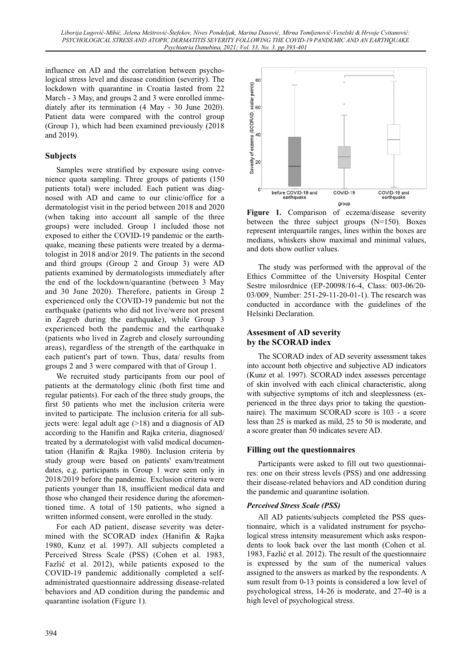influence on AD and the correlation between psychological stress level and disease condition (severity). The lockdown with quarantine in Croatia lasted from 22 March - 3 May, and groups 2 and 3 were enrolled immediately after its termination (4 May - 30 June 2020). Patient data were compared with the control group (Group 1), which had been examined previously (2018 and 2019).

# **Subjects**

Samples were stratified by exposure using convenience quota sampling. Three groups of patients (150 patients total) were included. Each patient was diagnosed with AD and came to our clinic/office for a dermatologist visit in the period between 2018 and 2020 (when taking into account all sample of the three groups) were included. Group 1 included those not exposed to either the COVID-19 pandemic or the earthquake, meaning these patients were treated by a dermatologist in 2018 and/or 2019. The patients in the second and third groups (Group 2 and Group 3) were AD patients examined by dermatologists immediately after the end of the lockdown/quarantine (between 3 May and 30 June 2020). Therefore, patients in Group 2 experienced only the COVID-19 pandemic but not the earthquake (patients who did not live/were not present in Zagreb during the earthquake), while Group 3 experienced both the pandemic and the earthquake (patients who lived in Zagreb and closely surrounding areas), regardless of the strength of the earthquake in each patient's part of town. Thus, data/ results from groups 2 and 3 were compared with that of Group 1.

We recruited study participants from our pool of patients at the dermatology clinic (both first time and regular patients). For each of the three study groups, the first 50 patients who met the inclusion criteria were invited to participate. The inclusion criteria for all subjects were: legal adult age  $(>18)$  and a diagnosis of AD according to the Hanifin and Rajka criteria, diagnosed/ treated by a dermatologist with valid medical documentation (Hanifin & Rajka 1980). Inclusion criteria by study group were based on patients' exam/treatment dates, e.g. participants in Group 1 were seen only in 2018/2019 before the pandemic. Exclusion criteria were patients younger than 18, insufficient medical data and those who changed their residence during the aforementioned time. A total of 150 patients, who signed a written informed consent, were enrolled in the study.

For each AD patient, disease severity was determined with the SCORAD index (Hanifin & Rajka 1980, Kunz et al. 1997). All subjects completed a Perceived Stress Scale (PSS) (Cohen et al. 1983, Fazlić et al. 2012), while patients exposed to the COVID-19 pandemic additionally completed a selfadministrated questionnaire addressing disease-related behaviors and AD condition during the pandemic and quarantine isolation (Figure 1).



**Figure 1.** Comparison of eczema/disease severity between the three subject groups  $(N=150)$ . Boxes represent interquartile ranges, lines within the boxes are medians, whiskers show maximal and minimal values, and dots show outlier values.

The study was performed with the approval of the Ethics Committee of the University Hospital Center Sestre milosrdnice (EP-20098/16-4, Class: 003-06/20- 03/009¸ Number: 251-29-11-20-01-1). The research was conducted in accordance with the guidelines of the Helsinki Declaration.

## **Assesment of AD severity by the SCORAD index**

The SCORAD index of AD severity assessment takes into account both objective and subjective AD indicators (Kunz et al. 1997). SCORAD index assesses percentage of skin involved with each clinical characteristic, along with subjective symptoms of itch and sleeplessness (experienced in the three days prior to taking the questionnaire). The maximum SCORAD score is 103 - a score less than 25 is marked as mild, 25 to 50 is moderate, and a score greater than 50 indicates severe AD.

## **Filling out the questionnaires**

Participants were asked to fill out two questionnaires: one on their stress levels (PSS) and one addressing their disease-related behaviors and AD condition during the pandemic and quarantine isolation.

## *Perceived Stress Scale (PSS)*

All AD patients/subjects completed the PSS questionnaire, which is a validated instrument for psychological stress intensity measurement which asks respondents to look back over the last month (Cohen et al. 1983, Fazlić et al. 2012). The result of the questionnaire is expressed by the sum of the numerical values assigned to the answers as marked by the respondents. A sum result from 0-13 points is considered a low level of psychological stress, 14-26 is moderate, and 27-40 is a high level of psychological stress.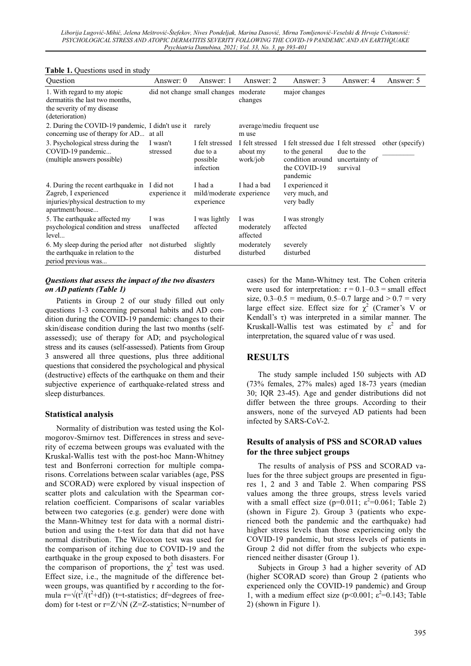#### **Table 1.** Questions used in study

| Question                                                                                                                        | Answer: 0            | Answer: 1                                            | Answer: 2                               | Answer: 3                                                                                                            | Answer: 4              | Answer: 5       |
|---------------------------------------------------------------------------------------------------------------------------------|----------------------|------------------------------------------------------|-----------------------------------------|----------------------------------------------------------------------------------------------------------------------|------------------------|-----------------|
| 1. With regard to my atopic<br>dermatitis the last two months,<br>the severity of my disease<br>(deterioration)                 |                      | did not change small changes moderate                | changes                                 | major changes                                                                                                        |                        |                 |
| 2. During the COVID-19 pandemic, I didn't use it<br>concerning use of therapy for AD at all                                     |                      | rarely                                               | average/mediu frequent use<br>m use     |                                                                                                                      |                        |                 |
| 3. Psychological stress during the<br>COVID-19 pandemic<br>(multiple answers possible)                                          | I wasn't<br>stressed | I felt stressed<br>due to a<br>possible<br>infection | I felt stressed<br>about my<br>work/job | I felt stressed due I felt stressed<br>to the general<br>condition around uncertainty of<br>the COVID-19<br>pandemic | due to the<br>survival | other (specify) |
| 4. During the recent earthquake in I did not<br>Zagreb, I experienced<br>injuries/physical destruction to my<br>apartment/house | experience it        | I had a<br>mild/moderate experience<br>experience    | I had a bad                             | I experienced it<br>very much, and<br>very badly                                                                     |                        |                 |
| 5. The earthquake affected my<br>psychological condition and stress<br>level                                                    | I was<br>unaffected  | I was lightly<br>affected                            | I was<br>moderately<br>affected         | I was strongly<br>affected                                                                                           |                        |                 |
| 6. My sleep during the period after<br>the earthquake in relation to the<br>period previous was                                 | not disturbed        | slightly<br>disturbed                                | moderately<br>disturbed                 | severely<br>disturbed                                                                                                |                        |                 |

#### *Questions that assess the impact of the two disasters on AD patients (Table 1)*

Patients in Group 2 of our study filled out only questions 1-3 concerning personal habits and AD condition during the COVID-19 pandemic: changes to their skin/disease condition during the last two months (selfassessed); use of therapy for AD; and psychological stress and its causes (self-assessed). Patients from Group 3 answered all three questions, plus three additional questions that considered the psychological and physical (destructive) effects of the earthquake on them and their subjective experience of earthquake-related stress and sleep disturbances.

## **Statistical analysis**

Normality of distribution was tested using the Kolmogorov-Smirnov test. Differences in stress and severity of eczema between groups was evaluated with the Kruskal-Wallis test with the post-hoc Mann-Whitney test and Bonferroni correction for multiple comparisons. Correlations between scalar variables (age, PSS and SCORAD) were explored by visual inspection of scatter plots and calculation with the Spearman correlation coefficient. Comparisons of scalar variables between two categories (e.g. gender) were done with the Mann-Whitney test for data with a normal distribution and using the t-test for data that did not have normal distribution. The Wilcoxon test was used for the comparison of itching due to COVID-19 and the earthquake in the group exposed to both disasters. For the comparison of proportions, the  $\chi^2$  test was used. Effect size, i.e., the magnitude of the difference between groups, was quantified by r according to the formula  $r = \sqrt{(t^2/(t^2+df))}$  (t=t-statistics; df=degrees of freedom) for t-test or  $r = Z/N$  (Z=Z-statistics; N=number of cases) for the Mann-Whitney test. The Cohen criteria were used for interpretation:  $r = 0.1 - 0.3 =$  small effect size,  $0.3-0.5$  = medium,  $0.5-0.7$  large and  $> 0.7$  = very large effect size. Effect size for  $\chi^2$  (Cramer's V or Kendall's  $\tau$ ) was interpreted in a similar manner. The Kruskall-Wallis test was estimated by  $\varepsilon^2$  and for interpretation, the squared value of r was used.

## **RESULTS**

The study sample included 150 subjects with AD (73% females, 27% males) aged 18-73 years (median 30; IQR 23-45). Age and gender distributions did not differ between the three groups. According to their answers, none of the surveyed AD patients had been infected by SARS-CoV-2.

#### **Results of analysis of PSS and SCORAD values for the three subject groups**

The results of analysis of PSS and SCORAD values for the three subject groups are presented in figures 1, 2 and 3 and Table 2. When comparing PSS values among the three groups, stress levels varied with a small effect size ( $p=0.011$ ;  $\varepsilon^2=0.061$ ; Table 2) (shown in Figure 2). Group 3 (patients who experienced both the pandemic and the earthquake) had higher stress levels than those experiencing only the COVID-19 pandemic, but stress levels of patients in Group 2 did not differ from the subjects who experienced neither disaster (Group 1).

Subjects in Group 3 had a higher severity of AD (higher SCORAD score) than Group 2 (patients who experienced only the COVID-19 pandemic) and Group 1, with a medium effect size ( $p<0.001$ ;  $\varepsilon^2=0.143$ ; Table 2) (shown in Figure 1).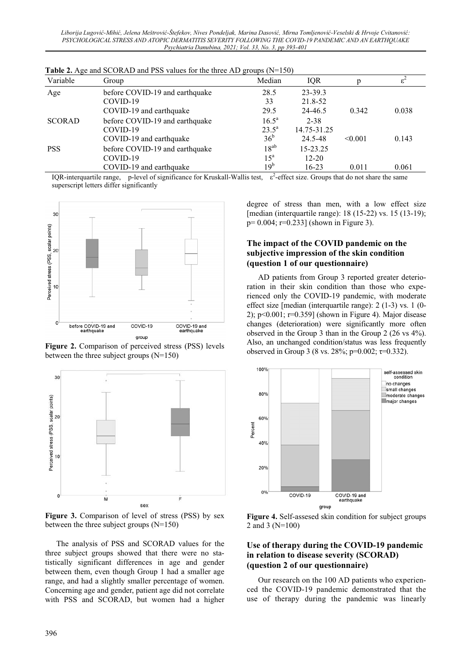| Variable                                     | Group                          | Median                    | IQR         |         | $\varepsilon^2$ |
|----------------------------------------------|--------------------------------|---------------------------|-------------|---------|-----------------|
| Age                                          | before COVID-19 and earthquake | 28.5                      | 23-39.3     |         |                 |
|                                              | COVID-19                       | 33                        | 21.8-52     |         |                 |
|                                              | COVID-19 and earthquake        | 29.5                      | 24-46.5     | 0.342   | 0.038           |
| <b>SCORAD</b>                                | before COVID-19 and earthquake | $16.5^{\circ}$            | $2 - 38$    |         |                 |
|                                              | COVID-19                       | $23.5^{\circ}$            | 14.75-31.25 |         |                 |
| COVID-19 and earthquake                      |                                | 36 <sup>b</sup>           | 24.5-48     | < 0.001 | 0.143           |
| before COVID-19 and earthquake<br><b>PSS</b> |                                | $18^{ab}$                 | 15-23.25    |         |                 |
|                                              | COVID-19                       | $15^{\mathrm{a}}$         | $12 - 20$   |         |                 |
|                                              | COVID-19 and earthquake        | 19 <sup>b</sup><br>$\sim$ | $16 - 23$   | 0.011   | 0.061           |

**Table 2.** Age and SCORAD and PSS values for the three AD groups (N=150)

IQR-interquartile range, p-level of significance for Kruskall-Wallis test,  $\varepsilon^2$ -effect size. Groups that do not share the same superscript letters differ significantly



**Figure 2.** Comparison of perceived stress (PSS) levels between the three subject groups  $(N=150)$ 



**Figure 3.** Comparison of level of stress (PSS) by sex between the three subject groups (N=150)

The analysis of PSS and SCORAD values for the three subject groups showed that there were no statistically significant differences in age and gender between them, even though Group 1 had a smaller age range, and had a slightly smaller percentage of women. Concerning age and gender, patient age did not correlate with PSS and SCORAD, but women had a higher

degree of stress than men, with a low effect size [median (interquartile range): 18 (15-22) vs. 15 (13-19); p= 0.004; r=0.233] (shown in Figure 3).

#### **The impact of the COVID pandemic on the subjective impression of the skin condition (question 1 of our questionnaire)**

AD patients from Group 3 reported greater deterioration in their skin condition than those who experienced only the COVID-19 pandemic, with moderate effect size [median (interquartile range): 2 (1-3) vs. 1 (0- 2);  $p<0.001$ ;  $r=0.359$  (shown in Figure 4). Major disease changes (deterioration) were significantly more often observed in the Group 3 than in the Group 2 (26 vs 4%). Also, an unchanged condition/status was less frequently observed in Group 3 (8 vs. 28%; p=0.002;  $\tau$ =0.332).



**Figure 4.** Self-assesed skin condition for subject groups 2 and 3 (N=100)

## **Use of therapy during the COVID-19 pandemic in relation to disease severity (SCORAD) (question 2 of our questionnaire)**

Our research on the 100 AD patients who experienced the COVID-19 pandemic demonstrated that the use of therapy during the pandemic was linearly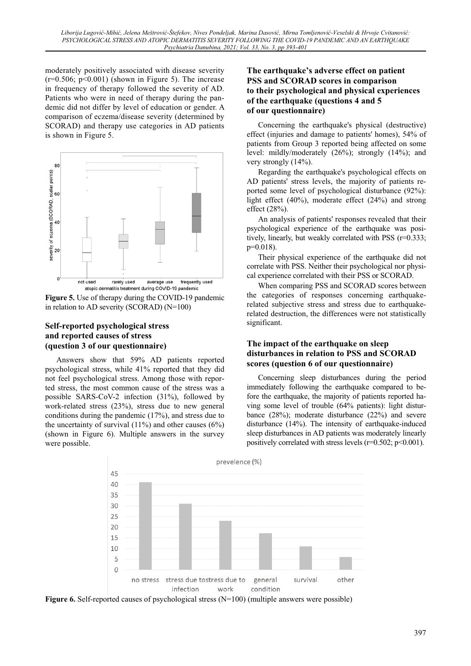moderately positively associated with disease severity  $(r=0.506; p<0.001)$  (shown in Figure 5). The increase in frequency of therapy followed the severity of AD. Patients who were in need of therapy during the pandemic did not differ by level of education or gender. A comparison of eczema/disease severity (determined by SCORAD) and therapy use categories in AD patients is shown in Figure 5.



**Figure 5.** Use of therapy during the COVID-19 pandemic in relation to AD severity (SCORAD) (N=100)

#### **Self-reported psychological stress and reported causes of stress (question 3 of our questionnaire)**

Answers show that 59% AD patients reported psychological stress, while 41% reported that they did not feel psychological stress. Among those with reported stress, the most common cause of the stress was a possible SARS-CoV-2 infection (31%), followed by work-related stress (23%), stress due to new general conditions during the pandemic (17%), and stress due to the uncertainty of survival  $(11\%)$  and other causes  $(6\%)$ (shown in Figure 6). Multiple answers in the survey were possible.

# **The earthquake's adverse effect on patient PSS and SCORAD scores in comparison to their psychological and physical experiences of the earthquake (questions 4 and 5 of our questionnaire)**

Concerning the earthquake's physical (destructive) effect (injuries and damage to patients' homes), 54% of patients from Group 3 reported being affected on some level: mildly/moderately (26%); strongly (14%); and very strongly (14%).

Regarding the earthquake's psychological effects on AD patients' stress levels, the majority of patients reported some level of psychological disturbance (92%): light effect (40%), moderate effect (24%) and strong effect (28%).

An analysis of patients' responses revealed that their psychological experience of the earthquake was positively, linearly, but weakly correlated with PSS (r=0.333;  $p=0.018$ ).

Their physical experience of the earthquake did not correlate with PSS. Neither their psychological nor physical experience correlated with their PSS or SCORAD.

When comparing PSS and SCORAD scores between the categories of responses concerning earthquakerelated subjective stress and stress due to earthquakerelated destruction, the differences were not statistically significant.

# **The impact of the earthquake on sleep disturbances in relation to PSS and SCORAD scores (question 6 of our questionnaire)**

Concerning sleep disturbances during the period immediately following the earthquake compared to before the earthquake, the majority of patients reported having some level of trouble (64% patients): light disturbance (28%); moderate disturbance (22%) and severe disturbance  $(14%)$ . The intensity of earthquake-induced sleep disturbances in AD patients was moderately linearly positively correlated with stress levels ( $r=0.502$ ;  $p<0.001$ ).



**Figure 6.** Self-reported causes of psychological stress (N=100) (multiple answers were possible)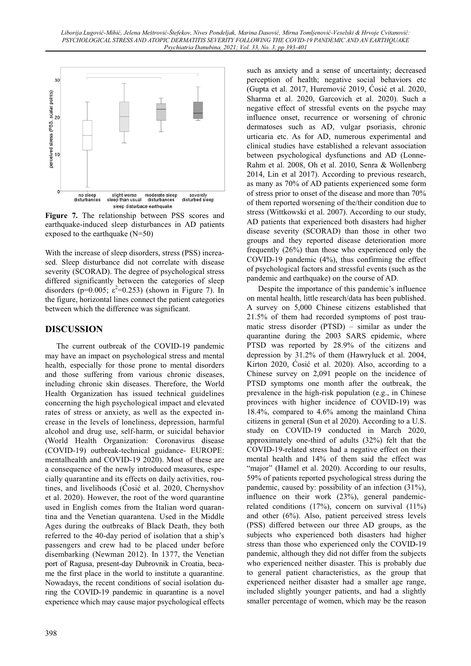

**Figure 7.** The relationship between PSS scores and earthquake-induced sleep disturbances in AD patients exposed to the earthquake (N=50)

With the increase of sleep disorders, stress (PSS) increased. Sleep disturbance did not correlate with disease severity (SCORAD). The degree of psychological stress differed significantly between the categories of sleep disorders (p=0.005;  $\varepsilon^2$ =0.253) (shown in Figure 7). In the figure, horizontal lines connect the patient categories between which the difference was significant.

# **DISCUSSION**

The current outbreak of the COVID-19 pandemic may have an impact on psychological stress and mental health, especially for those prone to mental disorders and those suffering from various chronic diseases, including chronic skin diseases. Therefore, the World Health Organization has issued technical guidelines concerning the high psychological impact and elevated rates of stress or anxiety, as well as the expected increase in the levels of loneliness, depression, harmful alcohol and drug use, self-harm, or suicidal behavior (World Health Organization: Coronavirus disease (COVID-19) outbreak-technical guidance- EUROPE: mentalhealth and COVID-19 2020). Most of these are a consequence of the newly introduced measures, especially quarantine and its effects on daily activities, routines, and livelihoods (Cosić et al. 2020, Chernyshov et al. 2020). However, the root of the word quarantine used in English comes from the Italian word quarantina and the Venetian quarantena. Used in the Middle Ages during the outbreaks of Black Death, they both referred to the 40-day period of isolation that a ship's passengers and crew had to be placed under before disembarking (Newman 2012). In 1377, the Venetian port of Ragusa, present-day Dubrovnik in Croatia, became the first place in the world to institute a quarantine. Nowadays, the recent conditions of social isolation during the COVID-19 pandemic in quarantine is a novel experience which may cause major psychological effects such as anxiety and a sense of uncertainty; decreased perception of health; negative social behaviors etc (Gupta et al. 2017, Huremović 2019, Cosić et al. 2020, Sharma et al. 2020, Garcovich et al. 2020). Such a negative effect of stressful events on the psyche may influence onset, recurrence or worsening of chronic dermatoses such as AD, vulgar psoriasis, chronic urticaria etc. As for AD, numerous experimental and clinical studies have established a relevant association between psychological dysfunctions and AD (Lonne-Rahm et al. 2008, Oh et al. 2010, Senra & Wollenberg 2014, Lin et al 2017). According to previous research, as many as 70% of AD patients experienced some form of stress prior to onset of the disease and more than 70% of them reported worsening of the/their condition due to stress (Wittkowski et al. 2007). According to our study, AD patients that experienced both disasters had higher disease severity (SCORAD) than those in other two groups and they reported disease deterioration more frequently (26%) than those who experienced only the COVID-19 pandemic (4%), thus confirming the effect of psychological factors and stressful events (such as the pandemic and earthquake) on the course of AD.

Despite the importance of this pandemic's influence on mental health, little research/data has been published. A survey on 5,000 Chinese citizens established that 21.5% of them had recorded symptoms of post traumatic stress disorder (PTSD) – similar as under the quarantine during the 2003 SARS epidemic, where PTSD was reported by 28.9% of the citizens and depression by 31.2% of them (Hawryluck et al. 2004, Kirton 2020, Ćosić et al. 2020). Also, according to a Chinese survey on 2,091 people on the incidence of PTSD symptoms one month after the outbreak, the prevalence in the high-risk population (e.g., in Chinese provinces with higher incidence of COVID-19) was 18.4%, compared to 4.6% among the mainland China citizens in general (Sun et al 2020). According to a U.S. study on COVID-19 conducted in March 2020, approximately one-third of adults (32%) felt that the COVID-19-related stress had a negative effect on their mental health and 14% of them said the effect was "major" (Hamel et al. 2020). According to our results, 59% of patients reported psychological stress during the pandemic, caused by: possibility of an infection (31%), influence on their work (23%), general pandemicrelated conditions (17%), concern on survival (11%) and other (6%). Also, patient perceived stress levels (PSS) differed between our three AD groups, as the subjects who experienced both disasters had higher stress than those who experienced only the COVID-19 pandemic, although they did not differ from the subjects who experienced neither disaster. This is probably due to general patient characteristics, as the group that experienced neither disaster had a smaller age range, included slightly younger patients, and had a slightly smaller percentage of women, which may be the reason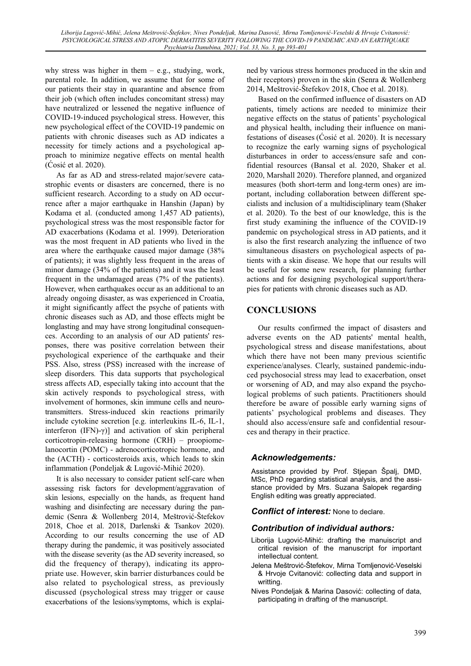why stress was higher in them  $-$  e.g., studying, work, parental role. In addition, we assume that for some of our patients their stay in quarantine and absence from their job (which often includes concomitant stress) may have neutralized or lessened the negative influence of COVID-19-induced psychological stress. However, this new psychological effect of the COVID-19 pandemic on patients with chronic diseases such as AD indicates a necessity for timely actions and a psychological approach to minimize negative effects on mental health  $(Cosi\acute{c}$  et al. 2020).

As far as AD and stress-related major/severe catastrophic events or disasters are concerned, there is no sufficient research. According to a study on AD occurrence after a major earthquake in Hanshin (Japan) by Kodama et al. (conducted among 1,457 AD patients), psychological stress was the most responsible factor for AD exacerbations (Kodama et al. 1999). Deterioration was the most frequent in AD patients who lived in the area where the earthquake caused major damage (38% of patients); it was slightly less frequent in the areas of minor damage (34% of the patients) and it was the least frequent in the undamaged areas (7% of the patients). However, when earthquakes occur as an additional to an already ongoing disaster, as was experienced in Croatia, it might significantly affect the psyche of patients with chronic diseases such as AD, and those effects might be longlasting and may have strong longitudinal consequences. According to an analysis of our AD patients' responses, there was positive correlation between their psychological experience of the earthquake and their PSS. Also, stress (PSS) increased with the increase of sleep disorders*.* This data supports that psychological stress affects AD, especially taking into account that the skin actively responds to psychological stress, with involvement of hormones, skin immune cells and neurotransmitters. Stress-induced skin reactions primarily include cytokine secretion [e.g. interleukins IL-6, IL-1, interferon  $(IFN)-\gamma$ ] and activation of skin peripheral corticotropin-releasing hormone (CRH) – proopiomelanocortin (POMC) - adrenocorticotropic hormone, and the (ACTH) - corticosteroids axis, which leads to skin inflammation (Pondeljak  $& Lugović-Mihić 2020$ ).

It is also necessary to consider patient self-care when assessing risk factors for development/aggravation of skin lesions, especially on the hands, as frequent hand washing and disinfecting are necessary during the pandemic (Senra & Wollenberg 2014, Meštrović-Štefekov 2018, Choe et al. 2018, Darlenski & Tsankov 2020). According to our results concerning the use of AD therapy during the pandemic, it was positively associated with the disease severity (as the AD severity increased, so did the frequency of therapy), indicating its appropriate use. However, skin barrier disturbances could be also related to psychological stress, as previously discussed (psychological stress may trigger or cause exacerbations of the lesions/symptoms, which is explained by various stress hormones produced in the skin and their receptors) proven in the skin (Senra & Wollenberg 2014, Meštrović-Štefekov 2018, Choe et al. 2018).

Based on the confirmed influence of disasters on AD patients, timely actions are needed to minimize their negative effects on the status of patients' psychological and physical health, including their influence on manifestations of diseases ( $\dot{C}$ osić et al. 2020). It is necessary to recognize the early warning signs of psychological disturbances in order to access/ensure safe and confidential resources (Bansal et al. 2020, Shaker et al. 2020, Marshall 2020). Therefore planned, and organized measures (both short-term and long-term ones) are important, including collaboration between different specialists and inclusion of a multidisciplinary team (Shaker et al. 2020). To the best of our knowledge, this is the first study examining the influence of the COVID-19 pandemic on psychological stress in AD patients, and it is also the first research analyzing the influence of two simultaneous disasters on psychological aspects of patients with a skin disease. We hope that our results will be useful for some new research, for planning further actions and for designing psychological support/therapies for patients with chronic diseases such as AD.

# **CONCLUSIONS**

Our results confirmed the impact of disasters and adverse events on the AD patients' mental health, psychological stress and disease manifestations, about which there have not been many previous scientific experience/analyses. Clearly, sustained pandemic-induced psychosocial stress may lead to exacerbation, onset or worsening of AD, and may also expand the psychological problems of such patients. Practitioners should therefore be aware of possible early warning signs of patients' psychological problems and diseases. They should also access/ensure safe and confidential resources and therapy in their practice.

## *Acknowledgements:*

Assistance provided by Prof. Stjepan Špalj, DMD, MSc, PhD regarding statistical analysis, and the assistance provided by Mrs. Suzana Salopek regarding English editing was greatly appreciated.

#### *Conflict of interest:* None to declare.

#### *Contribution of individual authors:*

- Liborija Lugović-Mihić: drafting the manuiscript and critical revision of the manuscript for important intellectual content.
- Jelena Meštrović-Štefekov, Mirna Tomljenović-Veselski & Hrvoje Cvitanović: collecting data and support in writting.
- Nives Pondeljak & Marina Dasović: collecting of data, participating in drafting of the manuscript.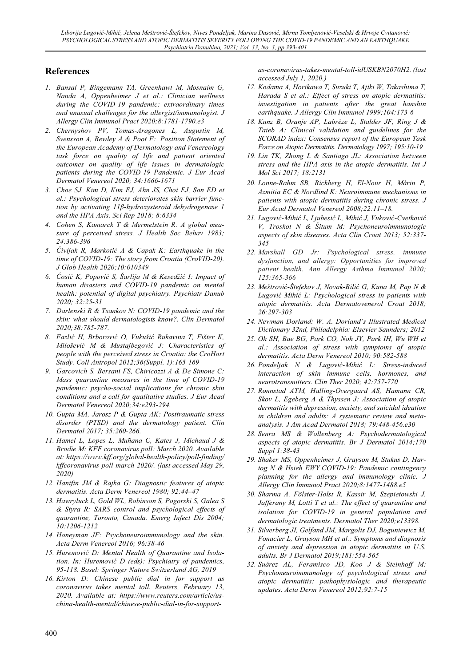# **References**

- *1. Bansal P, Bingemann TA, Greenhawt M, Mosnaim G, Nanda A, Oppenheimer J et al.: Clinician wellness during the COVID-19 pandemic: extraordinary times and unusual challenges for the allergist/immunologist. J Allergy Clin Immunol Pract 2020;8:1781-1790.e3*
- *2. Chernyshov PV, Tomas-Aragones L, Augustin M, Svensson A, Bewley A & Poot F: Position Statement of the European Academy of Dermatology and Venereology task force on quality of life and patient oriented outcomes on quality of life issues in dermatologic patients during the COVID-19 Pandemic. J Eur Acad Dermatol Venereol 2020; 34:1666-1671*
- *3. Choe SJ, Kim D, Kim EJ, Ahn JS, Choi EJ, Son ED et al.: Psychological stress deteriorates skin barrier function by activating 11ȕ-hydroxysteroid dehydrogenase 1 and the HPA Axis. Sci Rep 2018; 8:6334*
- *4. Cohen S, Kamarck T & Mermelstein R: A global measure of perceived stress. J Health Soc Behav 1983; 24:386-396*
- *5. ýivljak R, Markotiü A & Capak K: Earthquake in the time of COVID-19: The story from Croatia (CroVID-20). J Glob Health 2020;10:010349*
- *6. ûosiü K, Popoviü S, Šarlija M & Kesedžiü I: Impact of human disasters and COVID-19 pandemic on mental health: potential of digital psychiatry. Psychiatr Danub 2020; 32:25-31*
- *7. Darlenski R & Tsankov N: COVID-19 pandemic and the skin: what should dermatologists know?. Clin Dermatol 2020;38:785-787.*
- *8. Fazliü H, Brboroviü O, Vukušiü Rukavina T, Fišter K, Miloševiü M & Mustajbegoviü J: Characteristics of people with the perceived stress in Croatia: the CroHort Study. Coll Antropol 2012;36(Suppl. 1):165-169*
- *9. Garcovich S, Bersani FS, Chiricozzi A & De Simone C: Mass quarantine measures in the time of COVID-19 pandemic: psycho-social implications for chronic skin conditions and a call for qualitative studies. J Eur Acad Dermatol Venereol 2020;34:e293-294.*
- *10. Gupta MA, Jarosz P & Gupta AK: Posttraumatic stress disorder (PTSD) and the dermatology patient. Clin Dermatol 2017; 35:260-266.*
- *11. Hamel L, Lopes L, Muñana C, Kates J, Michaud J & Brodie M: KFF coronavirus poll: March 2020. Available at: https://www.kff.org/global-health-policy/poll-finding/ kffcoronavirus-poll-march-2020/. (last accessed May 29, 2020)*
- *12. Hanifin JM & Rajka G: Diagnostic features of atopic dermatitis. Acta Derm Venereol 1980; 92:44–47*
- *13. Hawryluck L, Gold WL, Robinson S, Pogorski S, Galea S & Styra R: SARS control and psychological effects of quarantine, Toronto, Canada. Emerg Infect Dis 2004; 10:1206-1212*
- *14. Honeyman JF: Psychoneuroimmunology and the skin. Acta Derm Venereol 2016; 96:38-46*
- *15. Huremoviü D: Mental Health of Quarantine and Isolation. In: Huremoviü D (eds): Psychiatry of pandemics, 95-118. Basel: Springer Nature Switzerland AG, 2019*
- *16. Kirton D: Chinese public dial in for support as coronavirus takes mental toll. Reuters, February 13, 2020. Available at: https://www.reuters.com/article/uschina-health-mental/chinese-public-dial-in-for-support-*

*as-coronavirus-takes-mental-toll-idUSKBN2070H2. (last accessed July 1, 2020.)* 

- *17. Kodama A, Horikawa T, Suzuki T, Ajiki W, Takashima T, Harada S et al.: Effect of stress on atopic dermatitis: investigation in patients after the great hanshin earthquake. J Allergy Clin Immunol 1999;104:173-6*
- *18. Kunz B, Oranje AP, Labrèze L, Stalder JF, Ring J & Taieb A: Clinical validation and guidelines for the SCORAD index: Consensus report of the European Task Force on Atopic Dermatitis. Dermatology 1997; 195:10-19*
- *19. Lin TK, Zhong L & Santiago JL: Association between stress and the HPA axis in the atopic dermatitis. Int J Mol Sci 2017; 18:2131*
- *20. LonneȬRahm SB, Rickberg H, ElȬNour H, Mårin P, Azmitia EC & Nordlind K: Neuroimmune mechanisms in patients with atopic dermatitis during chronic stress. J Eur Acad Dermatol Venereol 2008;22:11–18.*
- *21. Lugoviü-Mihiü L, Ljubesiü L, Mihiü J, Vukoviü-Cvetkoviü V, Troskot N & Šitum M: Psychoneuroimmunologic aspects of skin diseases. Acta Clin Croat 2013; 52:337- 345*
- *22. Marshall GD Jr: Psychological stress, immune dysfunction, and allergy: Opportunities for improved patient health. Ann Allergy Asthma Immunol 2020; 125:365-366*
- *23. Meštroviü-Štefekov J, Novak-Biliü G, Kuna M, Pap N & Lugoviü-Mihiü L: Psychological stress in patients with atopic dermatitis. Acta Dermatovenerol Croat 2018; 26:297-303*
- *24. Newman Dorland: W. A. Dorland's Illustrated Medical Dictionary 32nd, Philadelphia: Elsevier Saunders; 2012*
- *25. Oh SH, Bae BG, Park CO, Noh JY, Park IH, Wu WH et al.: Association of stress with symptoms of atopic dermatitis. Acta Derm Venereol 2010; 90:582-588*
- *26. Pondeljak N & Lugoviü-Mihiü L: Stress-induced interaction of skin immune cells, hormones, and neurotransmitters. Clin Ther 2020; 42:757-770*
- *27. Rønnstad ATM, Halling-Overgaard AS, Hamann CR, Skov L, Egeberg A & Thyssen J: Association of atopic dermatitis with depression, anxiety, and suicidal ideation in children and adults: A systematic review and metaanalysis. J Am Acad Dermatol 2018; 79:448-456.e30*
- *28. Senra MS & Wollenberg A: Psychodermatological aspects of atopic dermatitis. Br J Dermatol 2014;170 Suppl 1:38-43*
- *29. Shaker MS, Oppenheimer J, Grayson M, Stukus D, Hartog N & Hsieh EWY COVID-19: Pandemic contingency planning for the allergy and immunology clinic. J Allergy Clin Immunol Pract 2020;8:1477-1488.e5*
- *30. Sharma A, Fölster-Holst R, Kassir M, Szepietowski J, Jafferany M, Lotti T et al.: The effect of quarantine and isolation for COVIDȬ19 in general population and dermatologic treatments. Dermatol Ther 2020;e13398.*
- *31. Silverberg JI, Gelfand JM, Margolis DJ, Boguniewicz M, Fonacier L, Grayson MH et al.: Symptoms and diagnosis of anxiety and depression in atopic dermatitis in U.S. adults. Br J Dermatol 2019;181:554-565*
- *32. Suárez AL, Feramisco JD, Koo J & Steinhoff M: Psychoneuroimmunology of psychological stress and atopic dermatitis: pathophysiologic and therapeutic updates. Acta Derm Venereol 2012;92:7-15*